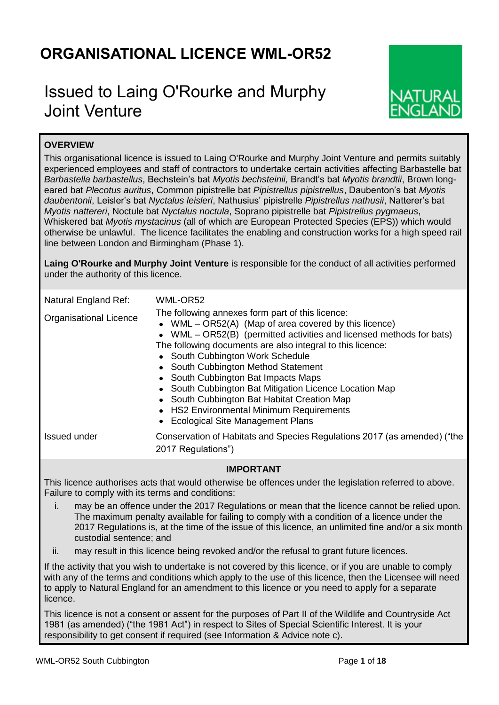# **ORGANISATIONAL LICENCE WML-OR52**

# Issued to Laing O'Rourke and Murphy Joint Venture



# **OVERVIEW**

This organisational licence is issued to Laing O'Rourke and Murphy Joint Venture and permits suitably experienced employees and staff of contractors to undertake certain activities affecting Barbastelle bat *Barbastella barbastellus*, Bechstein's bat *Myotis bechsteinii,* Brandt's bat *Myotis brandtii*, Brown longeared bat *Plecotus auritus*, Common pipistrelle bat *Pipistrellus pipistrellus*, Daubenton's bat *Myotis daubentonii*, Leisler's bat *Nyctalus leisleri*, Nathusius' pipistrelle *Pipistrellus nathusii*, Natterer's bat *Myotis nattereri*, Noctule bat *Nyctalus noctula*, Soprano pipistrelle bat *Pipistrellus pygmaeus*, Whiskered bat *Myotis mystacinus* (all of which are European Protected Species (EPS)) which would otherwise be unlawful. The licence facilitates the enabling and construction works for a high speed rail line between London and Birmingham (Phase 1).

**Laing O'Rourke and Murphy Joint Venture** is responsible for the conduct of all activities performed under the authority of this licence.

| Natural England Ref:<br><b>Organisational Licence</b> | WML-OR52<br>The following annexes form part of this licence:<br>• WML $-$ OR52(A) (Map of area covered by this licence)<br>• WML - OR52(B) (permitted activities and licensed methods for bats)<br>The following documents are also integral to this licence:                                             |
|-------------------------------------------------------|-----------------------------------------------------------------------------------------------------------------------------------------------------------------------------------------------------------------------------------------------------------------------------------------------------------|
|                                                       | • South Cubbington Work Schedule<br>• South Cubbington Method Statement<br>• South Cubbington Bat Impacts Maps<br>• South Cubbington Bat Mitigation Licence Location Map<br>• South Cubbington Bat Habitat Creation Map<br>• HS2 Environmental Minimum Requirements<br>• Ecological Site Management Plans |
| <b>Issued under</b>                                   | Conservation of Habitats and Species Regulations 2017 (as amended) ("the<br>2017 Regulations")                                                                                                                                                                                                            |

## **IMPORTANT**

This licence authorises acts that would otherwise be offences under the legislation referred to above. Failure to comply with its terms and conditions:

- i. may be an offence under the 2017 Regulations or mean that the licence cannot be relied upon. The maximum penalty available for failing to comply with a condition of a licence under the 2017 Regulations is, at the time of the issue of this licence, an unlimited fine and/or a six month custodial sentence; and
- ii. may result in this licence being revoked and/or the refusal to grant future licences.

If the activity that you wish to undertake is not covered by this licence, or if you are unable to comply with any of the terms and conditions which apply to the use of this licence, then the Licensee will need to apply to Natural England for an amendment to this licence or you need to apply for a separate licence.

This licence is not a consent or assent for the purposes of Part II of the Wildlife and Countryside Act 1981 (as amended) ("the 1981 Act") in respect to Sites of Special Scientific Interest. It is your responsibility to get consent if required (see Information & Advice note c).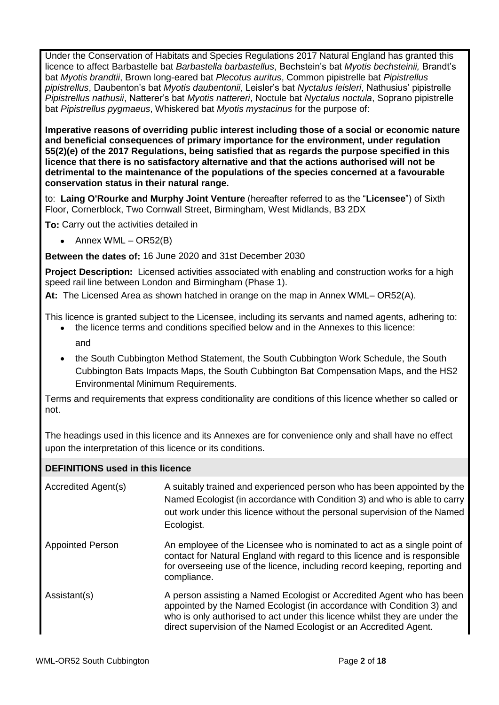Under the Conservation of Habitats and Species Regulations 2017 Natural England has granted this licence to affect Barbastelle bat *Barbastella barbastellus*, Bechstein's bat *Myotis bechsteinii,* Brandt's bat *Myotis brandtii*, Brown long-eared bat *Plecotus auritus*, Common pipistrelle bat *Pipistrellus pipistrellus*, Daubenton's bat *Myotis daubentonii*, Leisler's bat *Nyctalus leisleri*, Nathusius' pipistrelle *Pipistrellus nathusii*, Natterer's bat *Myotis nattereri*, Noctule bat *Nyctalus noctula*, Soprano pipistrelle bat *Pipistrellus pygmaeus*, Whiskered bat *Myotis mystacinus* for the purpose of:

**Imperative reasons of overriding public interest including those of a social or economic nature and beneficial consequences of primary importance for the environment, under regulation 55(2)(e) of the 2017 Regulations, being satisfied that as regards the purpose specified in this licence that there is no satisfactory alternative and that the actions authorised will not be detrimental to the maintenance of the populations of the species concerned at a favourable conservation status in their natural range.**

to: **Laing O'Rourke and Murphy Joint Venture** (hereafter referred to as the "**Licensee**") of Sixth Floor, Cornerblock, Two Cornwall Street, Birmingham, West Midlands, B3 2DX

**To:** Carry out the activities detailed in

• Annex WML –  $OR52(B)$ 

**Between the dates of:** 16 June 2020 and 31st December 2030

**Project Description:** Licensed activities associated with enabling and construction works for a high speed rail line between London and Birmingham (Phase 1).

**At:** The Licensed Area as shown hatched in orange on the map in Annex WML– OR52(A).

This licence is granted subject to the Licensee, including its servants and named agents, adhering to:

- the licence terms and conditions specified below and in the Annexes to this licence: and
- the South Cubbington Method Statement, the South Cubbington Work Schedule, the South Cubbington Bats Impacts Maps, the South Cubbington Bat Compensation Maps, and the HS2 Environmental Minimum Requirements.

Terms and requirements that express conditionality are conditions of this licence whether so called or not.

The headings used in this licence and its Annexes are for convenience only and shall have no effect upon the interpretation of this licence or its conditions.

## **DEFINITIONS used in this licence**

| Accredited Agent(s)     | A suitably trained and experienced person who has been appointed by the<br>Named Ecologist (in accordance with Condition 3) and who is able to carry<br>out work under this licence without the personal supervision of the Named<br>Ecologist.                                                   |
|-------------------------|---------------------------------------------------------------------------------------------------------------------------------------------------------------------------------------------------------------------------------------------------------------------------------------------------|
| <b>Appointed Person</b> | An employee of the Licensee who is nominated to act as a single point of<br>contact for Natural England with regard to this licence and is responsible<br>for overseeing use of the licence, including record keeping, reporting and<br>compliance.                                               |
| Assistant(s)            | A person assisting a Named Ecologist or Accredited Agent who has been<br>appointed by the Named Ecologist (in accordance with Condition 3) and<br>who is only authorised to act under this licence whilst they are under the<br>direct supervision of the Named Ecologist or an Accredited Agent. |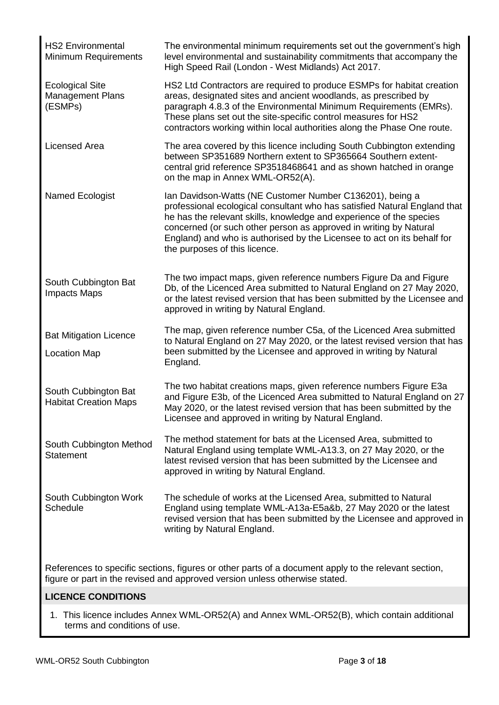| <b>HS2 Environmental</b><br>Minimum Requirements                                                     | The environmental minimum requirements set out the government's high<br>level environmental and sustainability commitments that accompany the<br>High Speed Rail (London - West Midlands) Act 2017.                                                                                                                                                                                           |  |  |  |  |
|------------------------------------------------------------------------------------------------------|-----------------------------------------------------------------------------------------------------------------------------------------------------------------------------------------------------------------------------------------------------------------------------------------------------------------------------------------------------------------------------------------------|--|--|--|--|
| <b>Ecological Site</b><br>Management Plans<br>(ESMPs)                                                | HS2 Ltd Contractors are required to produce ESMPs for habitat creation<br>areas, designated sites and ancient woodlands, as prescribed by<br>paragraph 4.8.3 of the Environmental Minimum Requirements (EMRs).<br>These plans set out the site-specific control measures for HS2<br>contractors working within local authorities along the Phase One route.                                   |  |  |  |  |
| <b>Licensed Area</b>                                                                                 | The area covered by this licence including South Cubbington extending<br>between SP351689 Northern extent to SP365664 Southern extent-<br>central grid reference SP3518468641 and as shown hatched in orange<br>on the map in Annex WML-OR52(A).                                                                                                                                              |  |  |  |  |
| Named Ecologist                                                                                      | Ian Davidson-Watts (NE Customer Number C136201), being a<br>professional ecological consultant who has satisfied Natural England that<br>he has the relevant skills, knowledge and experience of the species<br>concerned (or such other person as approved in writing by Natural<br>England) and who is authorised by the Licensee to act on its behalf for<br>the purposes of this licence. |  |  |  |  |
| South Cubbington Bat<br><b>Impacts Maps</b>                                                          | The two impact maps, given reference numbers Figure Da and Figure<br>Db, of the Licenced Area submitted to Natural England on 27 May 2020,<br>or the latest revised version that has been submitted by the Licensee and<br>approved in writing by Natural England.                                                                                                                            |  |  |  |  |
| <b>Bat Mitigation Licence</b><br><b>Location Map</b>                                                 | The map, given reference number C5a, of the Licenced Area submitted<br>to Natural England on 27 May 2020, or the latest revised version that has<br>been submitted by the Licensee and approved in writing by Natural<br>England.                                                                                                                                                             |  |  |  |  |
| South Cubbington Bat<br><b>Habitat Creation Maps</b>                                                 | The two habitat creations maps, given reference numbers Figure E3a<br>and Figure E3b, of the Licenced Area submitted to Natural England on 27<br>May 2020, or the latest revised version that has been submitted by the<br>Licensee and approved in writing by Natural England.                                                                                                               |  |  |  |  |
| South Cubbington Method<br><b>Statement</b>                                                          | The method statement for bats at the Licensed Area, submitted to<br>Natural England using template WML-A13.3, on 27 May 2020, or the<br>latest revised version that has been submitted by the Licensee and<br>approved in writing by Natural England.                                                                                                                                         |  |  |  |  |
| South Cubbington Work<br>Schedule                                                                    | The schedule of works at the Licensed Area, submitted to Natural<br>England using template WML-A13a-E5a&b, 27 May 2020 or the latest<br>revised version that has been submitted by the Licensee and approved in<br>writing by Natural England.                                                                                                                                                |  |  |  |  |
| References to specific sections, figures or other parts of a document apply to the relevant section, |                                                                                                                                                                                                                                                                                                                                                                                               |  |  |  |  |

figure or part in the revised and approved version unless otherwise stated.

## **LICENCE CONDITIONS**

1. This licence includes Annex WML-OR52(A) and Annex WML-OR52(B), which contain additional terms and conditions of use.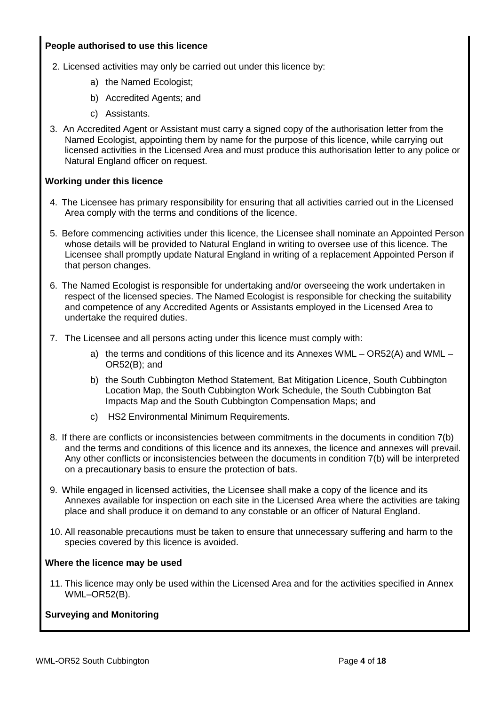## **People authorised to use this licence**

- 2. Licensed activities may only be carried out under this licence by:
	- a) the Named Ecologist;
	- b) Accredited Agents; and
	- c) Assistants.
- 3. An Accredited Agent or Assistant must carry a signed copy of the authorisation letter from the Named Ecologist, appointing them by name for the purpose of this licence, while carrying out licensed activities in the Licensed Area and must produce this authorisation letter to any police or Natural England officer on request.

## **Working under this licence**

- 4. The Licensee has primary responsibility for ensuring that all activities carried out in the Licensed Area comply with the terms and conditions of the licence.
- 5. Before commencing activities under this licence, the Licensee shall nominate an Appointed Person whose details will be provided to Natural England in writing to oversee use of this licence. The Licensee shall promptly update Natural England in writing of a replacement Appointed Person if that person changes.
- 6. The Named Ecologist is responsible for undertaking and/or overseeing the work undertaken in respect of the licensed species. The Named Ecologist is responsible for checking the suitability and competence of any Accredited Agents or Assistants employed in the Licensed Area to undertake the required duties.
- 7. The Licensee and all persons acting under this licence must comply with:
	- a) the terms and conditions of this licence and its Annexes WML OR52(A) and WML OR52(B); and
	- b) the South Cubbington Method Statement, Bat Mitigation Licence, South Cubbington Location Map, the South Cubbington Work Schedule, the South Cubbington Bat Impacts Map and the South Cubbington Compensation Maps; and
	- c) HS2 Environmental Minimum Requirements.
- 8. If there are conflicts or inconsistencies between commitments in the documents in condition 7(b) and the terms and conditions of this licence and its annexes, the licence and annexes will prevail. Any other conflicts or inconsistencies between the documents in condition 7(b) will be interpreted on a precautionary basis to ensure the protection of bats.
- 9. While engaged in licensed activities, the Licensee shall make a copy of the licence and its Annexes available for inspection on each site in the Licensed Area where the activities are taking place and shall produce it on demand to any constable or an officer of Natural England.
- 10. All reasonable precautions must be taken to ensure that unnecessary suffering and harm to the species covered by this licence is avoided.

## **Where the licence may be used**

11. This licence may only be used within the Licensed Area and for the activities specified in Annex WML–OR52(B).

## **Surveying and Monitoring**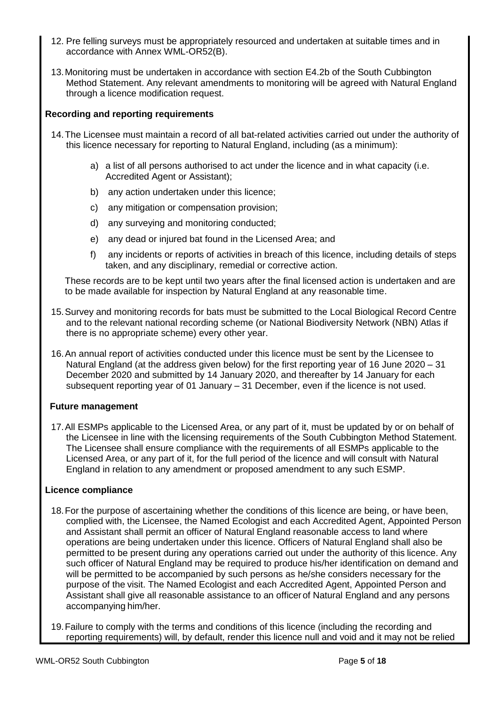- 12. Pre felling surveys must be appropriately resourced and undertaken at suitable times and in accordance with Annex WML-OR52(B).
- 13.Monitoring must be undertaken in accordance with section E4.2b of the South Cubbington Method Statement. Any relevant amendments to monitoring will be agreed with Natural England through a licence modification request.

## **Recording and reporting requirements**

- 14.The Licensee must maintain a record of all bat-related activities carried out under the authority of this licence necessary for reporting to Natural England, including (as a minimum):
	- a) a list of all persons authorised to act under the licence and in what capacity (i.e. Accredited Agent or Assistant);
	- b) any action undertaken under this licence;
	- c) any mitigation or compensation provision;
	- d) any surveying and monitoring conducted;
	- e) any dead or injured bat found in the Licensed Area; and
	- f) any incidents or reports of activities in breach of this licence, including details of steps taken, and any disciplinary, remedial or corrective action.

These records are to be kept until two years after the final licensed action is undertaken and are to be made available for inspection by Natural England at any reasonable time.

- 15.Survey and monitoring records for bats must be submitted to the Local Biological Record Centre and to the relevant national recording scheme (or National Biodiversity Network (NBN) Atlas if there is no appropriate scheme) every other year.
- 16.An annual report of activities conducted under this licence must be sent by the Licensee to Natural England (at the address given below) for the first reporting year of 16 June 2020 – 31 December 2020 and submitted by 14 January 2020, and thereafter by 14 January for each subsequent reporting year of 01 January – 31 December, even if the licence is not used.

## **Future management**

17.All ESMPs applicable to the Licensed Area, or any part of it, must be updated by or on behalf of the Licensee in line with the licensing requirements of the South Cubbington Method Statement. The Licensee shall ensure compliance with the requirements of all ESMPs applicable to the Licensed Area, or any part of it, for the full period of the licence and will consult with Natural England in relation to any amendment or proposed amendment to any such ESMP.

## **Licence compliance**

- 18.For the purpose of ascertaining whether the conditions of this licence are being, or have been, complied with, the Licensee, the Named Ecologist and each Accredited Agent, Appointed Person and Assistant shall permit an officer of Natural England reasonable access to land where operations are being undertaken under this licence. Officers of Natural England shall also be permitted to be present during any operations carried out under the authority of this licence. Any such officer of Natural England may be required to produce his/her identification on demand and will be permitted to be accompanied by such persons as he/she considers necessary for the purpose of the visit. The Named Ecologist and each Accredited Agent, Appointed Person and Assistant shall give all reasonable assistance to an officerof Natural England and any persons accompanying him/her.
- 19.Failure to comply with the terms and conditions of this licence (including the recording and reporting requirements) will, by default, render this licence null and void and it may not be relied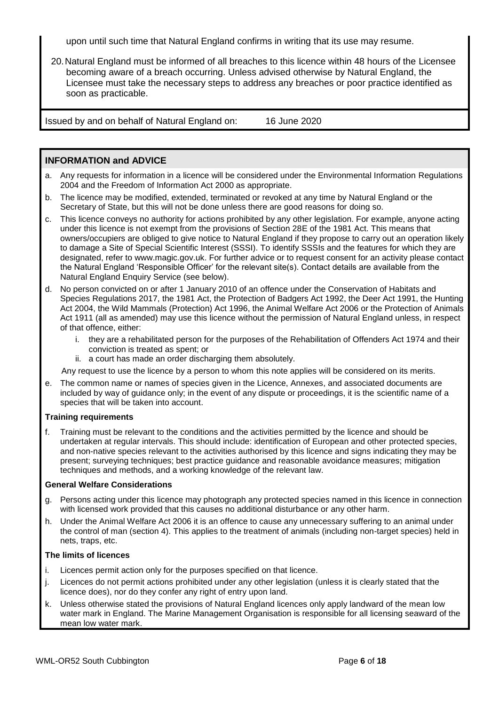upon until such time that Natural England confirms in writing that its use may resume.

20.Natural England must be informed of all breaches to this licence within 48 hours of the Licensee becoming aware of a breach occurring. Unless advised otherwise by Natural England, the Licensee must take the necessary steps to address any breaches or poor practice identified as soon as practicable.

Issued by and on behalf of Natural England on: 16 June 2020

## **INFORMATION and ADVICE**

- a. Any requests for information in a licence will be considered under the Environmental Information Regulations 2004 and the Freedom of Information Act 2000 as appropriate.
- b. The licence may be modified, extended, terminated or revoked at any time by Natural England or the Secretary of State, but this will not be done unless there are good reasons for doing so.
- c. This licence conveys no authority for actions prohibited by any other legislation. For example, anyone acting under this licence is not exempt from the provisions of Section 28E of the 1981 Act. This means that owners/occupiers are obliged to give notice to Natural England if they propose to carry out an operation likely to damage a Site of Special Scientific Interest (SSSI). To identify SSSIs and the features for which they are designated, refer to www.magic.gov.uk. For further advice or to request consent for an activity please contact the Natural England 'Responsible Officer' for the relevant site(s). Contact details are available from the Natural England Enquiry Service (see below).
- d. No person convicted on or after 1 January 2010 of an offence under the Conservation of Habitats and Species Regulations 2017, the 1981 Act, the Protection of Badgers Act 1992, the Deer Act 1991, the Hunting Act 2004, the Wild Mammals (Protection) Act 1996, the Animal Welfare Act 2006 or the Protection of Animals Act 1911 (all as amended) may use this licence without the permission of Natural England unless, in respect of that offence, either:
	- i. they are a rehabilitated person for the purposes of the Rehabilitation of Offenders Act 1974 and their conviction is treated as spent; or
	- ii. a court has made an order discharging them absolutely.

Any request to use the licence by a person to whom this note applies will be considered on its merits.

e. The common name or names of species given in the Licence, Annexes, and associated documents are included by way of guidance only; in the event of any dispute or proceedings, it is the scientific name of a species that will be taken into account.

### **Training requirements**

f. Training must be relevant to the conditions and the activities permitted by the licence and should be undertaken at regular intervals. This should include: identification of European and other protected species, and non-native species relevant to the activities authorised by this licence and signs indicating they may be present; surveying techniques; best practice guidance and reasonable avoidance measures; mitigation techniques and methods, and a working knowledge of the relevant law.

#### **General Welfare Considerations**

- g. Persons acting under this licence may photograph any protected species named in this licence in connection with licensed work provided that this causes no additional disturbance or any other harm.
- h. Under the Animal Welfare Act 2006 it is an offence to cause any unnecessary suffering to an animal under the control of man (section 4). This applies to the treatment of animals (including non-target species) held in nets, traps, etc.

### **The limits of licences**

- i. Licences permit action only for the purposes specified on that licence.
- j. Licences do not permit actions prohibited under any other legislation (unless it is clearly stated that the licence does), nor do they confer any right of entry upon land.
- k. Unless otherwise stated the provisions of Natural England licences only apply landward of the mean low water mark in England. The Marine Management Organisation is responsible for all licensing seaward of the mean low water mark.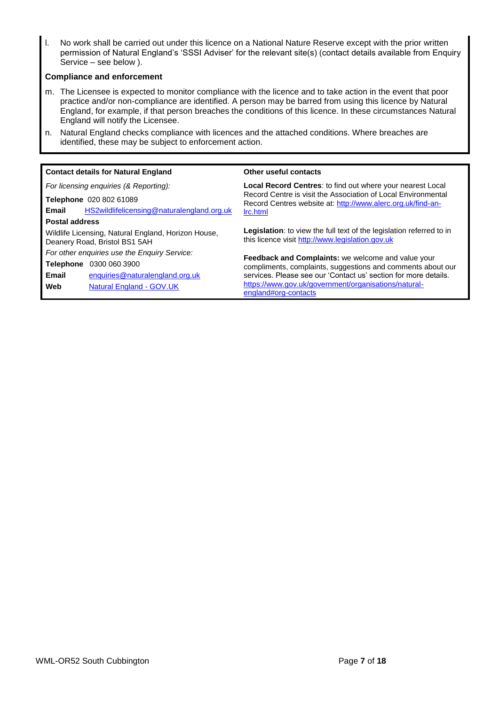l. No work shall be carried out under this licence on a National Nature Reserve except with the prior written permission of Natural England's 'SSSI Adviser' for the relevant site(s) (contact details available from Enquiry Service – see below ).

#### **Compliance and enforcement**

- m. The Licensee is expected to monitor compliance with the licence and to take action in the event that poor practice and/or non-compliance are identified. A person may be barred from using this licence by Natural England, for example, if that person breaches the conditions of this licence. In these circumstances Natural England will notify the Licensee.
- n. Natural England checks compliance with licences and the attached conditions. Where breaches are identified, these may be subject to enforcement action.

|                                          | <b>Contact details for Natural England</b>                                           | Other useful contacts                                                                                                           |  |  |
|------------------------------------------|--------------------------------------------------------------------------------------|---------------------------------------------------------------------------------------------------------------------------------|--|--|
|                                          | For licensing enquiries (& Reporting):                                               | Local Record Centres: to find out where your nearest Local                                                                      |  |  |
|                                          | Telephone 020 802 61089                                                              | Record Centre is visit the Association of Local Environmental<br>Record Centres website at: http://www.alerc.org.uk/find-an-    |  |  |
| Email                                    | HS2wildlifelicensing@naturalengland.org.uk                                           | Irc.html                                                                                                                        |  |  |
| <b>Postal address</b>                    |                                                                                      |                                                                                                                                 |  |  |
|                                          | Wildlife Licensing, Natural England, Horizon House,<br>Deanery Road, Bristol BS1 5AH | <b>Legislation:</b> to view the full text of the legislation referred to in<br>this licence visit http://www.legislation.gov.uk |  |  |
|                                          | For other enquiries use the Enquiry Service:                                         | <b>Feedback and Complaints:</b> we welcome and value your                                                                       |  |  |
| <b>Telephone</b><br>0300 060 3900        |                                                                                      | compliments, complaints, suggestions and comments about our                                                                     |  |  |
| Email<br>enquiries@naturalengland.org.uk |                                                                                      | services. Please see our 'Contact us' section for more details.                                                                 |  |  |
| Web                                      | <b>Natural England - GOV.UK</b>                                                      | https://www.gov.uk/government/organisations/natural-<br>england#org-contacts                                                    |  |  |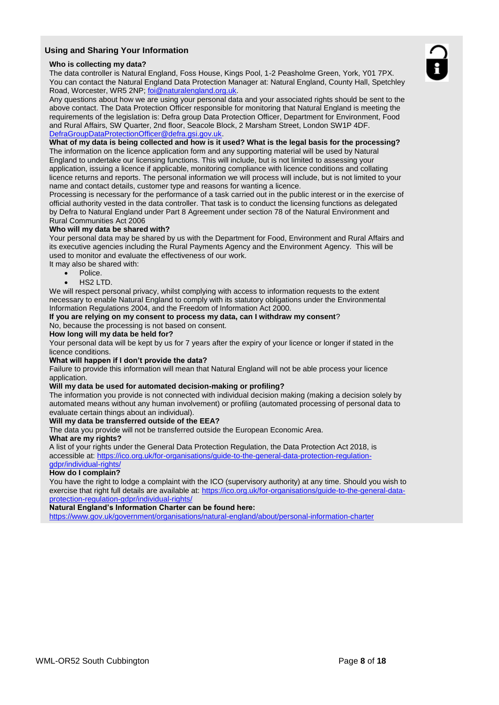### **Using and Sharing Your Information**

#### **Who is collecting my data?**

The data controller is Natural England, Foss House, Kings Pool, 1-2 Peasholme Green, York, Y01 7PX. You can contact the Natural England Data Protection Manager at: Natural England, County Hall, Spetchley Road, Worcester, WR5 2NP; [foi@naturalengland.org.uk.](mailto:foi@naturalengland.org.uk)

Any questions about how we are using your personal data and your associated rights should be sent to the above contact. The Data Protection Officer responsible for monitoring that Natural England is meeting the requirements of the legislation is: Defra group Data Protection Officer, Department for Environment, Food and Rural Affairs, SW Quarter, 2nd floor, Seacole Block, 2 Marsham Street, London SW1P 4DF. [DefraGroupDataProtectionOfficer@defra.gsi.gov.uk.](mailto:DefraGroupDataProtectionOfficer@defra.gsi.gov.uk)

#### **What of my data is being collected and how is it used? What is the legal basis for the processing?**

The information on the licence application form and any supporting material will be used by Natural England to undertake our licensing functions. This will include, but is not limited to assessing your application, issuing a licence if applicable, monitoring compliance with licence conditions and collating licence returns and reports. The personal information we will process will include, but is not limited to your name and contact details, customer type and reasons for wanting a licence.

Processing is necessary for the performance of a task carried out in the public interest or in the exercise of official authority vested in the data controller. That task is to conduct the licensing functions as delegated by Defra to Natural England under Part 8 Agreement under section 78 of the Natural Environment and Rural Communities Act 2006

#### **Who will my data be shared with?**

Your personal data may be shared by us with the Department for Food, Environment and Rural Affairs and its executive agencies including the Rural Payments Agency and the Environment Agency. This will be used to monitor and evaluate the effectiveness of our work.

It may also be shared with:

- Police.
- HS2 LTD.

We will respect personal privacy, whilst complying with access to information requests to the extent necessary to enable Natural England to comply with its statutory obligations under the Environmental Information Regulations 2004, and the Freedom of Information Act 2000.

#### **If you are relying on my consent to process my data, can I withdraw my consent**?

No, because the processing is not based on consent.

#### **How long will my data be held for?**

Your personal data will be kept by us for 7 years after the expiry of your licence or longer if stated in the licence conditions.

#### **What will happen if I don't provide the data?**

Failure to provide this information will mean that Natural England will not be able process your licence application.

#### **Will my data be used for automated decision-making or profiling?**

The information you provide is not connected with individual decision making (making a decision solely by automated means without any human involvement) or profiling (automated processing of personal data to evaluate certain things about an individual).

#### **Will my data be transferred outside of the EEA?**

The data you provide will not be transferred outside the European Economic Area.

### **What are my rights?**

A list of your rights under the General Data Protection Regulation, the Data Protection Act 2018, is accessible at: [https://ico.org.uk/for-organisations/guide-to-the-general-data-protection-regulation](https://ico.org.uk/for-organisations/guide-to-the-general-data-protection-regulation-gdpr/individual-rights/)[gdpr/individual-rights/](https://ico.org.uk/for-organisations/guide-to-the-general-data-protection-regulation-gdpr/individual-rights/)

#### **How do I complain?**

You have the right to lodge a complaint with the ICO (supervisory authority) at any time. Should you wish to exercise that right full details are available at: [https://ico.org.uk/for-organisations/guide-to-the-general-data](https://ico.org.uk/for-organisations/guide-to-the-general-data-protection-regulation-gdpr/individual-rights/)[protection-regulation-gdpr/individual-rights/](https://ico.org.uk/for-organisations/guide-to-the-general-data-protection-regulation-gdpr/individual-rights/)

#### **Natural England's Information Charter can be found here:**

<https://www.gov.uk/government/organisations/natural-england/about/personal-information-charter>

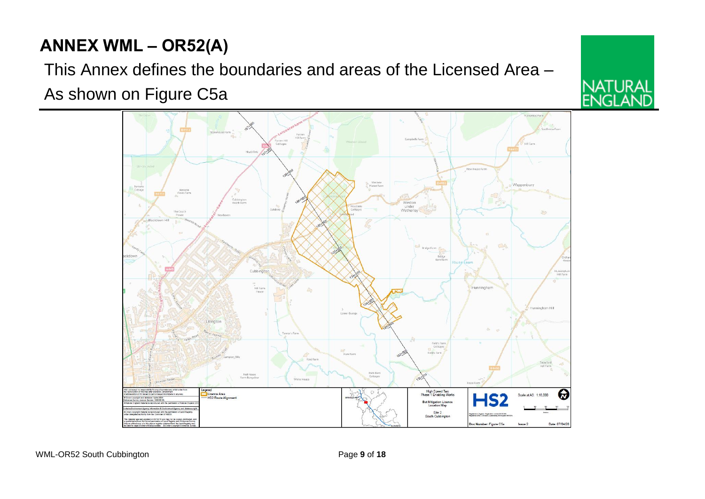# **ANNEX WML – OR52(A)**

This Annex defines the boundaries and areas of the Licensed Area – As shown on Figure C5a



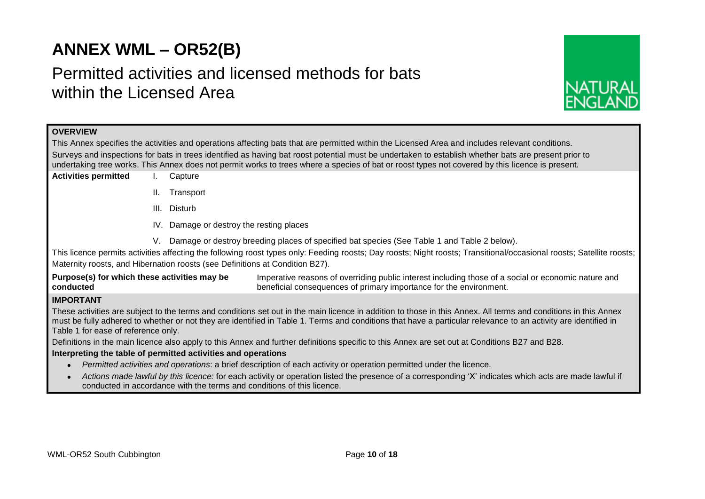# **ANNEX WML – OR52(B)**

# Permitted activities and licensed methods for bats within the Licensed Area



## **OVERVIEW**

This Annex specifies the activities and operations affecting bats that are permitted within the Licensed Area and includes relevant conditions. Surveys and inspections for bats in trees identified as having bat roost potential must be undertaken to establish whether bats are present prior to undertaking tree works. This Annex does not permit works to trees where a species of bat or roost types not covered by this licence is present.

- **Activities permitted** I. Capture
	- II. Transport
	- III. Disturb
	- IV. Damage or destroy the resting places
	- V. Damage or destroy breeding places of specified bat species (See Table 1 and Table 2 below).

This licence permits activities affecting the following roost types only: Feeding roosts; Day roosts; Night roosts; Transitional/occasional roosts; Satellite roosts; Maternity roosts, and Hibernation roosts (see Definitions at Condition B27).

**Purpose(s) for which these activities may be conducted** Imperative reasons of overriding public interest including those of a social or economic nature and beneficial consequences of primary importance for the environment.

## **IMPORTANT**

These activities are subject to the terms and conditions set out in the main licence in addition to those in this Annex. All terms and conditions in this Annex must be fully adhered to whether or not they are identified in Table 1. Terms and conditions that have a particular relevance to an activity are identified in Table 1 for ease of reference only.

Definitions in the main licence also apply to this Annex and further definitions specific to this Annex are set out at Conditions B27 and B28.

### **Interpreting the table of permitted activities and operations**

- *Permitted activities and operations*: a brief description of each activity or operation permitted under the licence.
- *Actions made lawful by this licence:* for each activity or operation listed the presence of a corresponding 'X' indicates which acts are made lawful if conducted in accordance with the terms and conditions of this licence.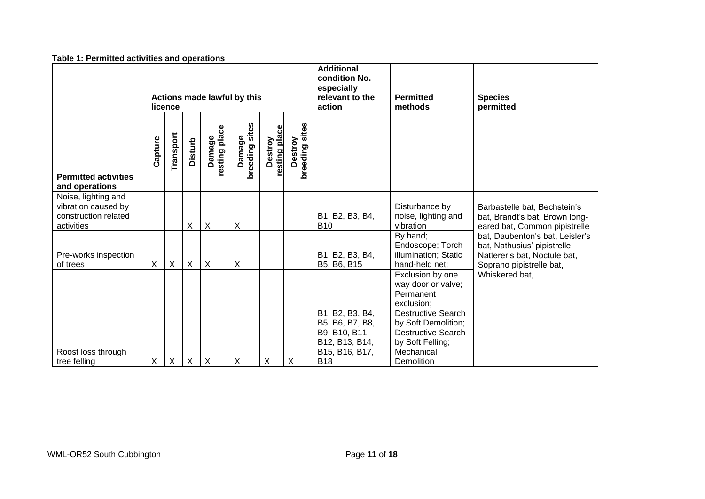| Table 1. Fermitted activities and operations                                     |         |           |                |                                                                               |                             |                             |                           |                                                                                                       |                                                                                                                                                                                                    |                                                                                                                             |
|----------------------------------------------------------------------------------|---------|-----------|----------------|-------------------------------------------------------------------------------|-----------------------------|-----------------------------|---------------------------|-------------------------------------------------------------------------------------------------------|----------------------------------------------------------------------------------------------------------------------------------------------------------------------------------------------------|-----------------------------------------------------------------------------------------------------------------------------|
| Actions made lawful by this<br>licence                                           |         |           |                | <b>Additional</b><br>condition No.<br>especially<br>relevant to the<br>action | <b>Permitted</b><br>methods | <b>Species</b><br>permitted |                           |                                                                                                       |                                                                                                                                                                                                    |                                                                                                                             |
| <b>Permitted activities</b><br>and operations                                    | Capture | Transport | <b>Disturb</b> | resting place<br>Damage                                                       | Damage<br>breeding sites    | resting place<br>Destroy    | breeding sites<br>Destroy |                                                                                                       |                                                                                                                                                                                                    |                                                                                                                             |
| Noise, lighting and<br>vibration caused by<br>construction related<br>activities |         |           | X              | $\boldsymbol{\mathsf{X}}$                                                     | X                           |                             |                           | B1, B2, B3, B4,<br><b>B10</b>                                                                         | Disturbance by<br>noise, lighting and<br>vibration                                                                                                                                                 | Barbastelle bat, Bechstein's<br>bat, Brandt's bat, Brown long-<br>eared bat, Common pipistrelle                             |
| Pre-works inspection<br>of trees                                                 | X       | X         | X              | $\boldsymbol{X}$                                                              | X                           |                             |                           | B1, B2, B3, B4,<br>B5, B6, B15                                                                        | By hand;<br>Endoscope; Torch<br>illumination; Static<br>hand-held net;                                                                                                                             | bat, Daubenton's bat, Leisler's<br>bat, Nathusius' pipistrelle,<br>Natterer's bat, Noctule bat,<br>Soprano pipistrelle bat, |
| Roost loss through<br>tree felling                                               | X       | X         | X              | $\times$                                                                      | X                           | X                           | X                         | B1, B2, B3, B4,<br>B5, B6, B7, B8,<br>B9, B10, B11,<br>B12, B13, B14,<br>B15, B16, B17,<br><b>B18</b> | Exclusion by one<br>way door or valve;<br>Permanent<br>exclusion;<br><b>Destructive Search</b><br>by Soft Demolition;<br><b>Destructive Search</b><br>by Soft Felling;<br>Mechanical<br>Demolition | Whiskered bat,                                                                                                              |

## **Table 1: Permitted activities and operations**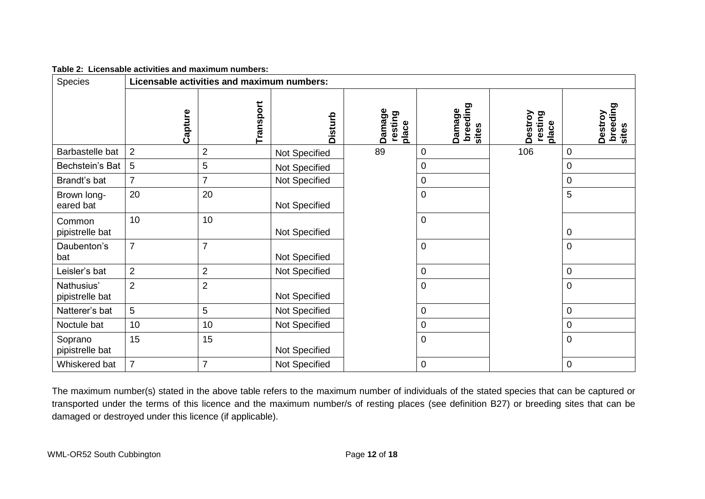| Table 2: Licensable activities and maximum numbers: |  |
|-----------------------------------------------------|--|
|                                                     |  |

| Species                       |                | Licensable activities and maximum numbers: |               |                            |                             |                             |                              |  |
|-------------------------------|----------------|--------------------------------------------|---------------|----------------------------|-----------------------------|-----------------------------|------------------------------|--|
|                               | Capture        | Transport                                  | Disturb       | Damage<br>resting<br>place | breeding<br>Damage<br>sites | Destroy<br>resting<br>place | breeding<br>Destroy<br>sites |  |
| Barbastelle bat               | $\overline{2}$ | $\overline{2}$                             | Not Specified | 89                         | 0                           | 106                         | $\mathbf 0$                  |  |
| Bechstein's Bat               | 5              | 5                                          | Not Specified |                            | 0                           |                             | $\mathbf 0$                  |  |
| Brandt's bat                  | $\overline{7}$ | $\overline{7}$                             | Not Specified |                            | 0                           |                             | $\pmb{0}$                    |  |
| Brown long-<br>eared bat      | 20             | 20                                         | Not Specified |                            | $\overline{0}$              |                             | 5                            |  |
| Common<br>pipistrelle bat     | 10             | 10                                         | Not Specified |                            | 0                           |                             | $\pmb{0}$                    |  |
| Daubenton's<br>bat            | $\overline{7}$ | $\overline{7}$                             | Not Specified |                            | 0                           |                             | $\pmb{0}$                    |  |
| Leisler's bat                 | $\overline{2}$ | $\overline{2}$                             | Not Specified |                            | 0                           |                             | 0                            |  |
| Nathusius'<br>pipistrelle bat | $\overline{2}$ | $\overline{2}$                             | Not Specified |                            | 0                           |                             | $\mathbf 0$                  |  |
| Natterer's bat                | 5              | 5                                          | Not Specified |                            | 0                           |                             | $\pmb{0}$                    |  |
| Noctule bat                   | 10             | 10                                         | Not Specified |                            | 0                           |                             | $\pmb{0}$                    |  |
| Soprano<br>pipistrelle bat    | 15             | 15                                         | Not Specified |                            | $\mathbf 0$                 |                             | $\mathbf 0$                  |  |
| Whiskered bat                 | $\overline{7}$ | $\overline{7}$                             | Not Specified |                            | 0                           |                             | $\mathbf 0$                  |  |

The maximum number(s) stated in the above table refers to the maximum number of individuals of the stated species that can be captured or transported under the terms of this licence and the maximum number/s of resting places (see definition B27) or breeding sites that can be damaged or destroyed under this licence (if applicable).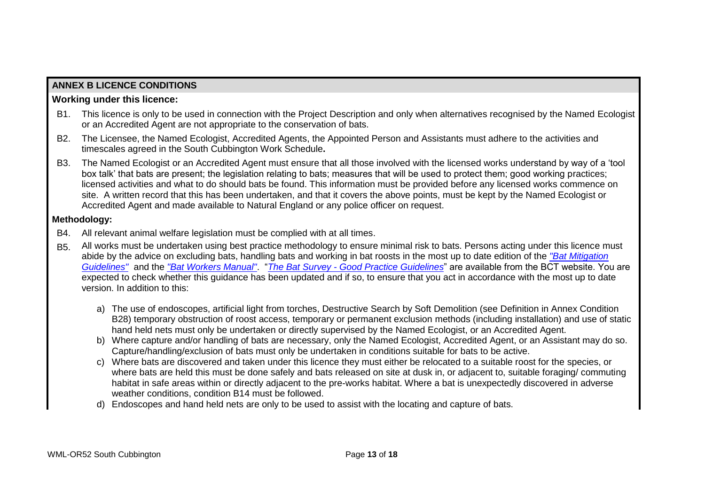# **ANNEX B LICENCE CONDITIONS**

## **Working under this licence:**

- B1. This licence is only to be used in connection with the Project Description and only when alternatives recognised by the Named Ecologist or an Accredited Agent are not appropriate to the conservation of bats.
- B2. The Licensee, the Named Ecologist, Accredited Agents, the Appointed Person and Assistants must adhere to the activities and timescales agreed in the South Cubbington Work Schedule**.**
- B3. The Named Ecologist or an Accredited Agent must ensure that all those involved with the licensed works understand by way of a 'tool box talk' that bats are present; the legislation relating to bats; measures that will be used to protect them; good working practices; licensed activities and what to do should bats be found. This information must be provided before any licensed works commence on site. A written record that this has been undertaken, and that it covers the above points, must be kept by the Named Ecologist or Accredited Agent and made available to Natural England or any police officer on request.

## **Methodology:**

- B4. All relevant animal welfare legislation must be complied with at all times.
- B5. All works must be undertaken using best practice methodology to ensure minimal risk to bats. Persons acting under this licence must abide by the advice on excluding bats, handling bats and working in bat roosts in the most up to date edition of the *["Bat Mitigation](http://webarchive.nationalarchives.gov.uk/20140605090108/http:/publications.naturalengland.org.uk/publication/69046?category=31008)  [Guidelines"](http://webarchive.nationalarchives.gov.uk/20140605090108/http:/publications.naturalengland.org.uk/publication/69046?category=31008)* and the *["Bat Workers Manual"](http://jncc.defra.gov.uk/page-2861)*. "*The Bat Survey - [Good Practice Guidelines](http://www.bats.org.uk/pages/batsurveyguide.html)*" are available from the BCT website. You are expected to check whether this guidance has been updated and if so, to ensure that you act in accordance with the most up to date version. In addition to this:
	- a) The use of endoscopes, artificial light from torches, Destructive Search by Soft Demolition (see Definition in Annex Condition B28) temporary obstruction of roost access, temporary or permanent exclusion methods (including installation) and use of static hand held nets must only be undertaken or directly supervised by the Named Ecologist, or an Accredited Agent.
	- b) Where capture and/or handling of bats are necessary, only the Named Ecologist, Accredited Agent, or an Assistant may do so. Capture/handling/exclusion of bats must only be undertaken in conditions suitable for bats to be active.
	- c) Where bats are discovered and taken under this licence they must either be relocated to a suitable roost for the species, or where bats are held this must be done safely and bats released on site at dusk in, or adjacent to, suitable foraging/ commuting habitat in safe areas within or directly adjacent to the pre-works habitat. Where a bat is unexpectedly discovered in adverse weather conditions, condition B14 must be followed.
	- d) Endoscopes and hand held nets are only to be used to assist with the locating and capture of bats.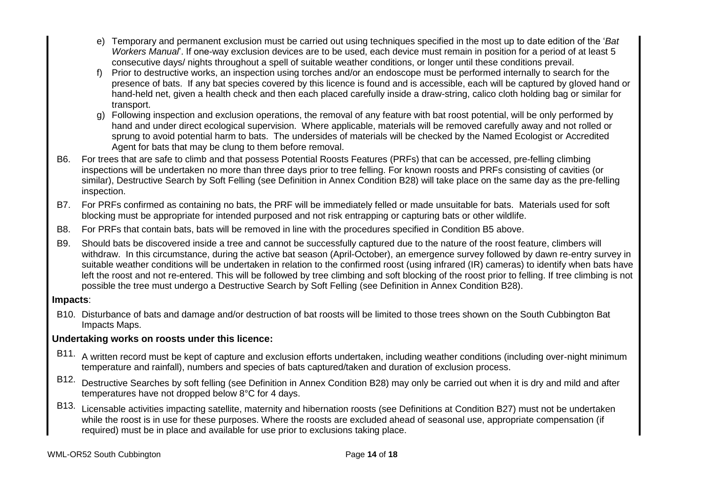- e) Temporary and permanent exclusion must be carried out using techniques specified in the most up to date edition of the '*Bat Workers Manual*'. If one-way exclusion devices are to be used, each device must remain in position for a period of at least 5 consecutive days/ nights throughout a spell of suitable weather conditions, or longer until these conditions prevail.
- Prior to destructive works, an inspection using torches and/or an endoscope must be performed internally to search for the presence of bats. If any bat species covered by this licence is found and is accessible, each will be captured by gloved hand or hand-held net, given a health check and then each placed carefully inside a draw-string, calico cloth holding bag or similar for transport.
- g) Following inspection and exclusion operations, the removal of any feature with bat roost potential, will be only performed by hand and under direct ecological supervision. Where applicable, materials will be removed carefully away and not rolled or sprung to avoid potential harm to bats. The undersides of materials will be checked by the Named Ecologist or Accredited Agent for bats that may be clung to them before removal.
- B6. For trees that are safe to climb and that possess Potential Roosts Features (PRFs) that can be accessed, pre-felling climbing inspections will be undertaken no more than three days prior to tree felling. For known roosts and PRFs consisting of cavities (or similar), Destructive Search by Soft Felling (see Definition in Annex Condition B28) will take place on the same day as the pre-felling inspection.
- B7. For PRFs confirmed as containing no bats, the PRF will be immediately felled or made unsuitable for bats. Materials used for soft blocking must be appropriate for intended purposed and not risk entrapping or capturing bats or other wildlife.
- B8. For PRFs that contain bats, bats will be removed in line with the procedures specified in Condition B5 above.
- B9. Should bats be discovered inside a tree and cannot be successfully captured due to the nature of the roost feature, climbers will withdraw. In this circumstance, during the active bat season (April-October), an emergence survey followed by dawn re-entry survey in suitable weather conditions will be undertaken in relation to the confirmed roost (using infrared (IR) cameras) to identify when bats have left the roost and not re-entered. This will be followed by tree climbing and soft blocking of the roost prior to felling. If tree climbing is not possible the tree must undergo a Destructive Search by Soft Felling (see Definition in Annex Condition B28).

# **Impacts**:

B10. Disturbance of bats and damage and/or destruction of bat roosts will be limited to those trees shown on the South Cubbington Bat Impacts Maps.

# **Undertaking works on roosts under this licence:**

- B11. A written record must be kept of capture and exclusion efforts undertaken, including weather conditions (including over-night minimum temperature and rainfall), numbers and species of bats captured/taken and duration of exclusion process.
- B12. Destructive Searches by soft felling (see Definition in Annex Condition B28) may only be carried out when it is dry and mild and after temperatures have not dropped below 8°C for 4 days.
- B13. Licensable activities impacting satellite, maternity and hibernation roosts (see Definitions at Condition B27) must not be undertaken while the roost is in use for these purposes. Where the roosts are excluded ahead of seasonal use, appropriate compensation (if required) must be in place and available for use prior to exclusions taking place.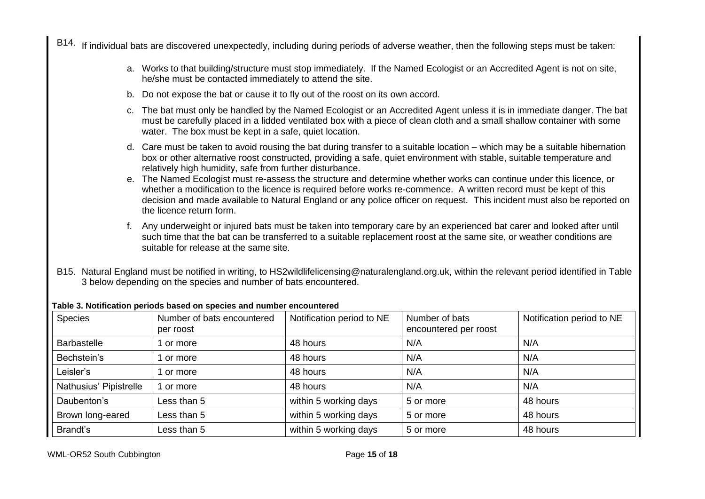B14. If individual bats are discovered unexpectedly, including during periods of adverse weather, then the following steps must be taken:

- a. Works to that building/structure must stop immediately. If the Named Ecologist or an Accredited Agent is not on site, he/she must be contacted immediately to attend the site.
- b. Do not expose the bat or cause it to fly out of the roost on its own accord.
- c. The bat must only be handled by the Named Ecologist or an Accredited Agent unless it is in immediate danger. The bat must be carefully placed in a lidded ventilated box with a piece of clean cloth and a small shallow container with some water. The box must be kept in a safe, quiet location.
- d. Care must be taken to avoid rousing the bat during transfer to a suitable location which may be a suitable hibernation box or other alternative roost constructed, providing a safe, quiet environment with stable, suitable temperature and relatively high humidity, safe from further disturbance.
- e. The Named Ecologist must re-assess the structure and determine whether works can continue under this licence, or whether a modification to the licence is required before works re-commence. A written record must be kept of this decision and made available to Natural England or any police officer on request. This incident must also be reported on the licence return form.
- f. Any underweight or injured bats must be taken into temporary care by an experienced bat carer and looked after until such time that the bat can be transferred to a suitable replacement roost at the same site, or weather conditions are suitable for release at the same site.
- B15. Natural England must be notified in writing, to HS2wildlifelicensing@naturalengland.org.uk, within the relevant period identified in Table 3 below depending on the species and number of bats encountered.

| Species                | Number of bats encountered<br>per roost | Notification period to NE | Number of bats<br>encountered per roost | Notification period to NE |
|------------------------|-----------------------------------------|---------------------------|-----------------------------------------|---------------------------|
| <b>Barbastelle</b>     | or more                                 | 48 hours                  | N/A                                     | N/A                       |
| Bechstein's            | or more                                 | 48 hours                  | N/A                                     | N/A                       |
| Leisler's              | or more                                 | 48 hours                  | N/A                                     | N/A                       |
| Nathusius' Pipistrelle | or more                                 | 48 hours                  | N/A                                     | N/A                       |
| Daubenton's            | Less than 5                             | within 5 working days     | 5 or more                               | 48 hours                  |
| Brown long-eared       | Less than 5                             | within 5 working days     | 5 or more                               | 48 hours                  |
| Brandt's               | Less than 5                             | within 5 working days     | 5 or more                               | 48 hours                  |

#### **Table 3. Notification periods based on species and number encountered**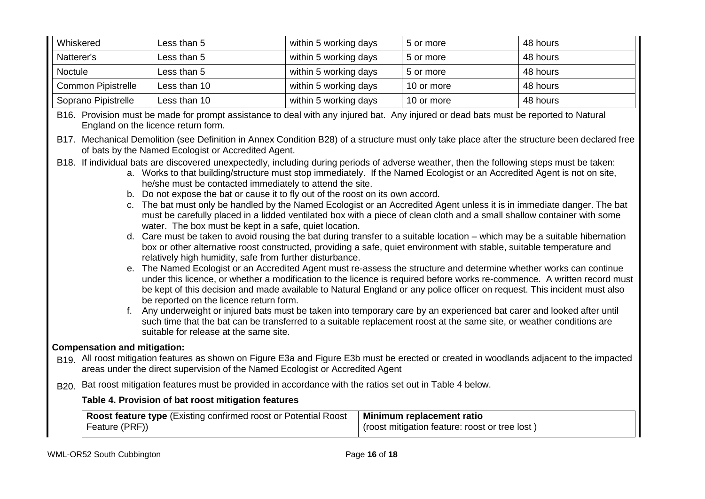| Whiskered                 | Less than 5  | within 5 working days | 5 or more  | 48 hours |
|---------------------------|--------------|-----------------------|------------|----------|
| Natterer's                | Less than 5  | within 5 working days | 5 or more  | 48 hours |
| Noctule                   | Less than 5  | within 5 working days | 5 or more  | 48 hours |
| <b>Common Pipistrelle</b> | Less than 10 | within 5 working days | 10 or more | 48 hours |
| Soprano Pipistrelle       | Less than 10 | within 5 working days | 10 or more | 48 hours |

B16. Provision must be made for prompt assistance to deal with any injured bat. Any injured or dead bats must be reported to Natural England on the licence return form.

- B17. Mechanical Demolition (see Definition in Annex Condition B28) of a structure must only take place after the structure been declared free of bats by the Named Ecologist or Accredited Agent.
- B18. If individual bats are discovered unexpectedly, including during periods of adverse weather, then the following steps must be taken:
	- a. Works to that building/structure must stop immediately. If the Named Ecologist or an Accredited Agent is not on site, he/she must be contacted immediately to attend the site.
	- b. Do not expose the bat or cause it to fly out of the roost on its own accord.
	- c. The bat must only be handled by the Named Ecologist or an Accredited Agent unless it is in immediate danger. The bat must be carefully placed in a lidded ventilated box with a piece of clean cloth and a small shallow container with some water. The box must be kept in a safe, quiet location.
	- d. Care must be taken to avoid rousing the bat during transfer to a suitable location which may be a suitable hibernation box or other alternative roost constructed, providing a safe, quiet environment with stable, suitable temperature and relatively high humidity, safe from further disturbance.
	- e. The Named Ecologist or an Accredited Agent must re-assess the structure and determine whether works can continue under this licence, or whether a modification to the licence is required before works re-commence. A written record must be kept of this decision and made available to Natural England or any police officer on request. This incident must also be reported on the licence return form.
	- f. Any underweight or injured bats must be taken into temporary care by an experienced bat carer and looked after until such time that the bat can be transferred to a suitable replacement roost at the same site, or weather conditions are suitable for release at the same site.

## **Compensation and mitigation:**

- B19. All roost mitigation features as shown on Figure E3a and Figure E3b must be erected or created in woodlands adjacent to the impacted areas under the direct supervision of the Named Ecologist or Accredited Agent
- B<sub>20</sub>. Bat roost mitigation features must be provided in accordance with the ratios set out in Table 4 below.

## **Table 4. Provision of bat roost mitigation features**

| Roost feature type (Existing confirmed roost or Potential Roost   Minimum replacement ratio |                                                |
|---------------------------------------------------------------------------------------------|------------------------------------------------|
| Feature (PRF))                                                                              | (roost mitigation feature: roost or tree lost) |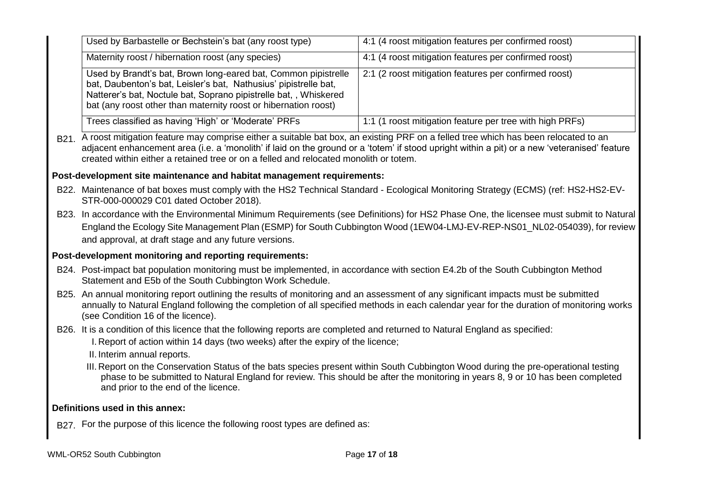| Used by Barbastelle or Bechstein's bat (any roost type)                                                                                                                                                                                                                                                                                                                           | 4:1 (4 roost mitigation features per confirmed roost)    |  |  |  |  |  |
|-----------------------------------------------------------------------------------------------------------------------------------------------------------------------------------------------------------------------------------------------------------------------------------------------------------------------------------------------------------------------------------|----------------------------------------------------------|--|--|--|--|--|
| Maternity roost / hibernation roost (any species)                                                                                                                                                                                                                                                                                                                                 | 4:1 (4 roost mitigation features per confirmed roost)    |  |  |  |  |  |
| Used by Brandt's bat, Brown long-eared bat, Common pipistrelle<br>bat, Daubenton's bat, Leisler's bat, Nathusius' pipistrelle bat,<br>Natterer's bat, Noctule bat, Soprano pipistrelle bat, , Whiskered<br>bat (any roost other than maternity roost or hibernation roost)                                                                                                        | 2:1 (2 roost mitigation features per confirmed roost)    |  |  |  |  |  |
| Trees classified as having 'High' or 'Moderate' PRFs                                                                                                                                                                                                                                                                                                                              | 1:1 (1 roost mitigation feature per tree with high PRFs) |  |  |  |  |  |
| B21. A roost mitigation feature may comprise either a suitable bat box, an existing PRF on a felled tree which has been relocated to an<br>adjacent enhancement area (i.e. a 'monolith' if laid on the ground or a 'totem' if stood upright within a pit) or a new 'veteranised' feature<br>created within either a retained tree or on a felled and relocated monolith or totem. |                                                          |  |  |  |  |  |
| Post-development site maintenance and habitat management requirements:                                                                                                                                                                                                                                                                                                            |                                                          |  |  |  |  |  |
| B22. Maintenance of bat boxes must comply with the HS2 Technical Standard - Ecological Monitoring Strategy (ECMS) (ref: HS2-HS2-EV-<br>STR-000-000029 C01 dated October 2018).                                                                                                                                                                                                    |                                                          |  |  |  |  |  |
| B23. In accordance with the Environmental Minimum Requirements (see Definitions) for HS2 Phase One, the licensee must submit to Natural<br>England the Ecology Site Management Plan (ESMP) for South Cubbington Wood (1EW04-LMJ-EV-REP-NS01_NL02-054039), for review<br>and approval, at draft stage and any future versions.                                                     |                                                          |  |  |  |  |  |
| Post-development monitoring and reporting requirements:                                                                                                                                                                                                                                                                                                                           |                                                          |  |  |  |  |  |
| B24. Post-impact bat population monitoring must be implemented, in accordance with section E4.2b of the South Cubbington Method<br>Statement and E5b of the South Cubbington Work Schedule.                                                                                                                                                                                       |                                                          |  |  |  |  |  |
| B25. An annual monitoring report outlining the results of monitoring and an assessment of any significant impacts must be submitted<br>annually to Natural England following the completion of all specified methods in each calendar year for the duration of monitoring works<br>(see Condition 16 of the licence).                                                             |                                                          |  |  |  |  |  |
| B26. It is a condition of this licence that the following reports are completed and returned to Natural England as specified:<br>I. Report of action within 14 days (two weeks) after the expiry of the licence;<br>II. Interim annual reports.                                                                                                                                   |                                                          |  |  |  |  |  |
| III. Report on the Conservation Status of the bats species present within South Cubbington Wood during the pre-operational testing<br>phase to be submitted to Natural England for review. This should be after the monitoring in years 8, 9 or 10 has been completed<br>and prior to the end of the licence.                                                                     |                                                          |  |  |  |  |  |
| Definitions used in this annex:                                                                                                                                                                                                                                                                                                                                                   |                                                          |  |  |  |  |  |
| B27. For the purpose of this licence the following roost types are defined as:                                                                                                                                                                                                                                                                                                    |                                                          |  |  |  |  |  |